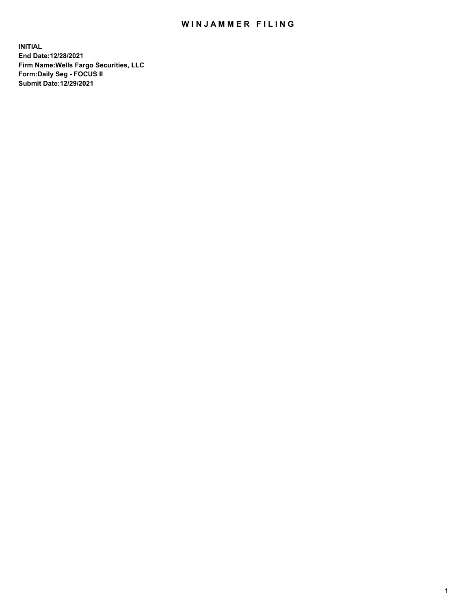## WIN JAMMER FILING

**INITIAL End Date:12/28/2021 Firm Name:Wells Fargo Securities, LLC Form:Daily Seg - FOCUS II Submit Date:12/29/2021**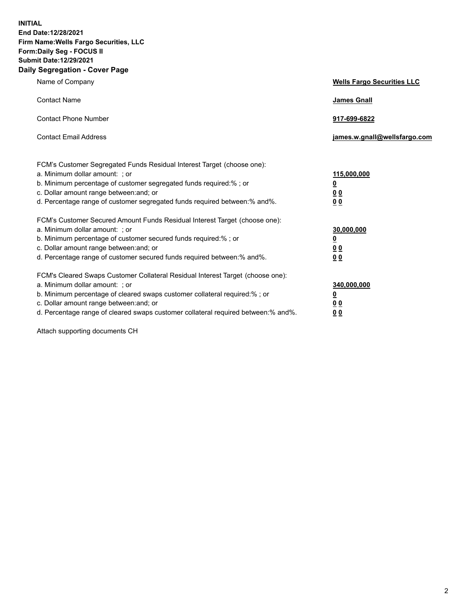**INITIAL End Date:12/28/2021 Firm Name:Wells Fargo Securities, LLC Form:Daily Seg - FOCUS II Submit Date:12/29/2021 Daily Segregation - Cover Page**

| Name of Company                                                                                                                                                                                                                                                                                                               | <b>Wells Fargo Securities LLC</b>                          |
|-------------------------------------------------------------------------------------------------------------------------------------------------------------------------------------------------------------------------------------------------------------------------------------------------------------------------------|------------------------------------------------------------|
| <b>Contact Name</b>                                                                                                                                                                                                                                                                                                           | <b>James Gnall</b>                                         |
| <b>Contact Phone Number</b>                                                                                                                                                                                                                                                                                                   | 917-699-6822                                               |
| <b>Contact Email Address</b>                                                                                                                                                                                                                                                                                                  | james.w.gnall@wellsfargo.com                               |
| FCM's Customer Segregated Funds Residual Interest Target (choose one):<br>a. Minimum dollar amount: ; or<br>b. Minimum percentage of customer segregated funds required:% ; or<br>c. Dollar amount range between: and; or<br>d. Percentage range of customer segregated funds required between:% and%.                        | 115,000,000<br><u>0</u><br>0 <sub>0</sub><br>00            |
| FCM's Customer Secured Amount Funds Residual Interest Target (choose one):<br>a. Minimum dollar amount: ; or<br>b. Minimum percentage of customer secured funds required:%; or<br>c. Dollar amount range between: and; or<br>d. Percentage range of customer secured funds required between: % and %.                         | 30,000,000<br><u>0</u><br>0 <sub>0</sub><br>0 <sub>0</sub> |
| FCM's Cleared Swaps Customer Collateral Residual Interest Target (choose one):<br>a. Minimum dollar amount: ; or<br>b. Minimum percentage of cleared swaps customer collateral required:%; or<br>c. Dollar amount range between: and; or<br>d. Percentage range of cleared swaps customer collateral required between:% and%. | 340,000,000<br><u>0</u><br>00<br>00                        |

Attach supporting documents CH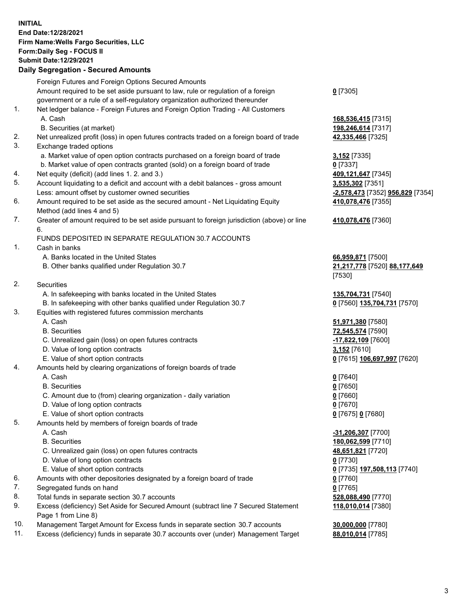**INITIAL End Date:12/28/2021 Firm Name:Wells Fargo Securities, LLC Form:Daily Seg - FOCUS II Submit Date:12/29/2021**

## **Daily Segregation - Secured Amounts**

|     | Foreign Futures and Foreign Options Secured Amounts                                                        |                                  |
|-----|------------------------------------------------------------------------------------------------------------|----------------------------------|
|     | Amount required to be set aside pursuant to law, rule or regulation of a foreign                           | $0$ [7305]                       |
|     | government or a rule of a self-regulatory organization authorized thereunder                               |                                  |
| 1.  | Net ledger balance - Foreign Futures and Foreign Option Trading - All Customers                            |                                  |
|     | A. Cash                                                                                                    | 168,536,415 [7315]               |
|     | B. Securities (at market)                                                                                  | 198,246,614 [7317]               |
| 2.  | Net unrealized profit (loss) in open futures contracts traded on a foreign board of trade                  | 42,335,466 [7325]                |
| 3.  | Exchange traded options                                                                                    |                                  |
|     | a. Market value of open option contracts purchased on a foreign board of trade                             | <b>3,152</b> [7335]              |
|     | b. Market value of open contracts granted (sold) on a foreign board of trade                               | $0$ [7337]                       |
| 4.  | Net equity (deficit) (add lines 1. 2. and 3.)                                                              | 409,121,647 [7345]               |
| 5.  | Account liquidating to a deficit and account with a debit balances - gross amount                          | 3,535,302 [7351]                 |
|     | Less: amount offset by customer owned securities                                                           | -2,578,473 [7352] 956,829 [7354] |
| 6.  | Amount required to be set aside as the secured amount - Net Liquidating Equity                             | 410,078,476 [7355]               |
|     | Method (add lines 4 and 5)                                                                                 |                                  |
| 7.  | Greater of amount required to be set aside pursuant to foreign jurisdiction (above) or line                | 410,078,476 [7360]               |
|     | 6.                                                                                                         |                                  |
|     | FUNDS DEPOSITED IN SEPARATE REGULATION 30.7 ACCOUNTS                                                       |                                  |
| 1.  | Cash in banks                                                                                              |                                  |
|     | A. Banks located in the United States                                                                      | 66,959,871 [7500]                |
|     | B. Other banks qualified under Regulation 30.7                                                             | 21,217,778 [7520] 88,177,649     |
|     |                                                                                                            | [7530]                           |
| 2.  | Securities                                                                                                 |                                  |
|     | A. In safekeeping with banks located in the United States                                                  | 135,704,731 [7540]               |
|     | B. In safekeeping with other banks qualified under Regulation 30.7                                         | 0 [7560] 135,704,731 [7570]      |
| 3.  | Equities with registered futures commission merchants                                                      |                                  |
|     | A. Cash                                                                                                    | 51,971,380 [7580]                |
|     | <b>B.</b> Securities                                                                                       | 72,545,574 [7590]                |
|     | C. Unrealized gain (loss) on open futures contracts                                                        | -17,822,109 [7600]               |
|     | D. Value of long option contracts                                                                          | 3,152 [7610]                     |
|     | E. Value of short option contracts                                                                         | 0 [7615] 106,697,997 [7620]      |
| 4.  | Amounts held by clearing organizations of foreign boards of trade                                          |                                  |
|     | A. Cash                                                                                                    | $0$ [7640]                       |
|     | <b>B.</b> Securities                                                                                       | $0$ [7650]                       |
|     | C. Amount due to (from) clearing organization - daily variation                                            | $0$ [7660]                       |
|     | D. Value of long option contracts                                                                          | $0$ [7670]                       |
|     | E. Value of short option contracts                                                                         | 0 [7675] 0 [7680]                |
| 5.  | Amounts held by members of foreign boards of trade                                                         |                                  |
|     | A. Cash                                                                                                    | $-31,206,307$ [7700]             |
|     | <b>B.</b> Securities                                                                                       | 180,062,599 [7710]               |
|     | C. Unrealized gain (loss) on open futures contracts                                                        | 48,651,821 [7720]                |
|     | D. Value of long option contracts                                                                          | $0$ [7730]                       |
|     | E. Value of short option contracts                                                                         | 0 [7735] 197,508,113 [7740]      |
| 6.  | Amounts with other depositories designated by a foreign board of trade                                     | 0 [7760]                         |
| 7.  | Segregated funds on hand                                                                                   | $0$ [7765]                       |
| 8.  | Total funds in separate section 30.7 accounts                                                              | 528,088,490 [7770]               |
| 9.  | Excess (deficiency) Set Aside for Secured Amount (subtract line 7 Secured Statement<br>Page 1 from Line 8) | 118,010,014 [7380]               |
| 10. | Management Target Amount for Excess funds in separate section 30.7 accounts                                | 30,000,000 [7780]                |

11. Excess (deficiency) funds in separate 30.7 accounts over (under) Management Target **88,010,014** [7785]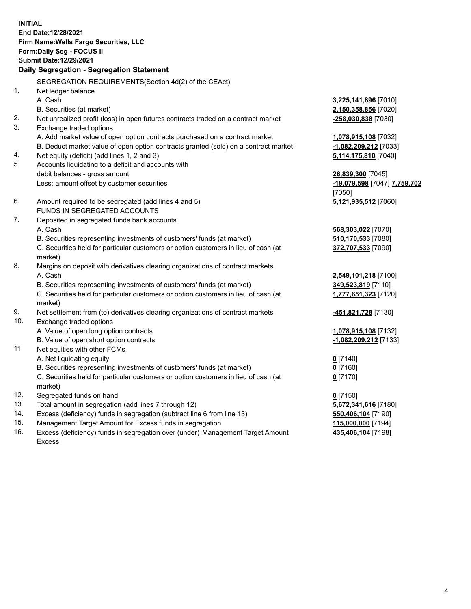**INITIAL End Date:12/28/2021 Firm Name:Wells Fargo Securities, LLC Form:Daily Seg - FOCUS II Submit Date:12/29/2021 Daily Segregation - Segregation Statement**

SEGREGATION REQUIREMENTS(Section 4d(2) of the CEAct)

|     | OLONLOATION INLQUINLIVILIVI O(OCCIDII 40(Z) OI THE OLACI)                           |                              |
|-----|-------------------------------------------------------------------------------------|------------------------------|
| 1.  | Net ledger balance                                                                  |                              |
|     | A. Cash                                                                             | 3,225,141,896 [7010]         |
|     | B. Securities (at market)                                                           | 2,150,358,856 [7020]         |
| 2.  | Net unrealized profit (loss) in open futures contracts traded on a contract market  | -258,030,838 [7030]          |
| 3.  | Exchange traded options                                                             |                              |
|     | A. Add market value of open option contracts purchased on a contract market         | 1,078,915,108 [7032]         |
|     | B. Deduct market value of open option contracts granted (sold) on a contract market | -1,082,209,212 [7033]        |
| 4.  | Net equity (deficit) (add lines 1, 2 and 3)                                         | 5,114,175,810 [7040]         |
| 5.  | Accounts liquidating to a deficit and accounts with                                 |                              |
|     | debit balances - gross amount                                                       | 26,839,300 [7045]            |
|     | Less: amount offset by customer securities                                          | -19,079,598 [7047] 7,759,702 |
|     |                                                                                     | [7050]                       |
| 6.  | Amount required to be segregated (add lines 4 and 5)                                | 5,121,935,512 [7060]         |
|     | FUNDS IN SEGREGATED ACCOUNTS                                                        |                              |
| 7.  | Deposited in segregated funds bank accounts                                         |                              |
|     | A. Cash                                                                             | 568,303,022 [7070]           |
|     | B. Securities representing investments of customers' funds (at market)              | 510,170,533 [7080]           |
|     | C. Securities held for particular customers or option customers in lieu of cash (at | 372,707,533 [7090]           |
|     | market)                                                                             |                              |
| 8.  | Margins on deposit with derivatives clearing organizations of contract markets      |                              |
|     | A. Cash                                                                             | 2,549,101,218 [7100]         |
|     | B. Securities representing investments of customers' funds (at market)              | 349,523,819 [7110]           |
|     | C. Securities held for particular customers or option customers in lieu of cash (at | 1,777,651,323 [7120]         |
|     | market)                                                                             |                              |
| 9.  | Net settlement from (to) derivatives clearing organizations of contract markets     | <u>-451,821,728</u> [7130]   |
| 10. | Exchange traded options                                                             |                              |
|     | A. Value of open long option contracts                                              | 1,078,915,108 [7132]         |
|     | B. Value of open short option contracts                                             | -1,082,209,212 [7133]        |
| 11. | Net equities with other FCMs                                                        |                              |
|     | A. Net liquidating equity                                                           | $0$ [7140]                   |
|     | B. Securities representing investments of customers' funds (at market)              | $0$ [7160]                   |
|     | C. Securities held for particular customers or option customers in lieu of cash (at | $0$ [7170]                   |
|     | market)                                                                             |                              |
| 12. | Segregated funds on hand                                                            | $0$ [7150]                   |
| 13. | Total amount in segregation (add lines 7 through 12)                                | 5,672,341,616 [7180]         |
| 14. | Excess (deficiency) funds in segregation (subtract line 6 from line 13)             | 550,406,104 [7190]           |
| 15. | Management Target Amount for Excess funds in segregation                            | 115,000,000 [7194]           |
| 16. | Excess (deficiency) funds in segregation over (under) Management Target Amount      | 435,406,104 [7198]           |
|     | Excess                                                                              |                              |